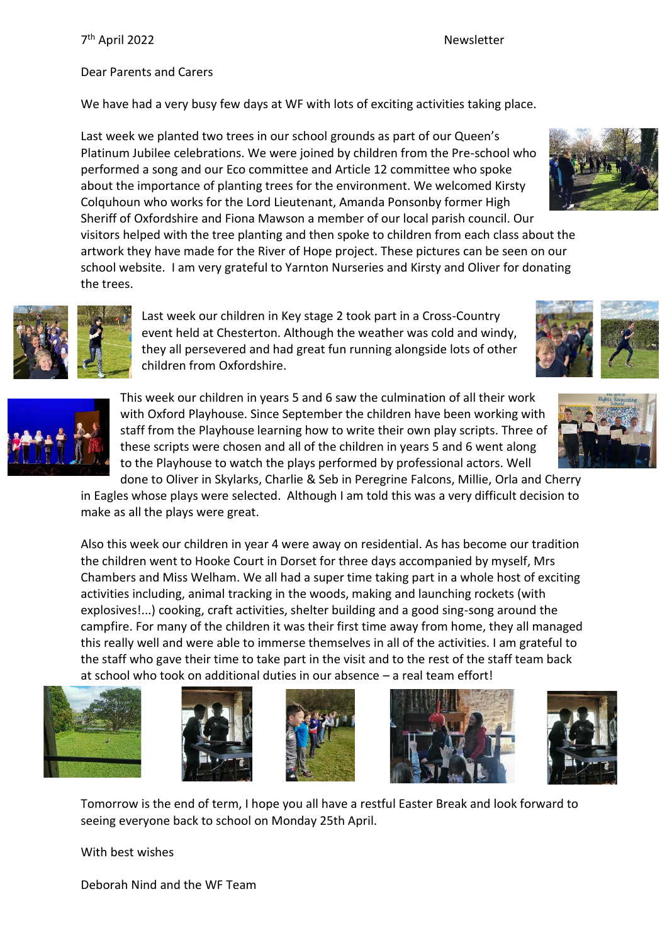Dear Parents and Carers

We have had a very busy few days at WF with lots of exciting activities taking place.

Last week we planted two trees in our school grounds as part of our Queen's Platinum Jubilee celebrations. We were joined by children from the Pre-school who performed a song and our Eco committee and Article 12 committee who spoke about the importance of planting trees for the environment. We welcomed Kirsty Colquhoun who works for the Lord Lieutenant, Amanda Ponsonby former High Sheriff of Oxfordshire and Fiona Mawson a member of our local parish council. Our visitors helped with the tree planting and then spoke to children from each class about the artwork they have made for the River of Hope project. These pictures can be seen on our school website. I am very grateful to Yarnton Nurseries and Kirsty and Oliver for donating the trees.



Last week our children in Key stage 2 took part in a Cross-Country event held at Chesterton. Although the weather was cold and windy, they all persevered and had great fun running alongside lots of other children from Oxfordshire.



This week our children in years 5 and 6 saw the culmination of all their work with Oxford Playhouse. Since September the children have been working with staff from the Playhouse learning how to write their own play scripts. Three of these scripts were chosen and all of the children in years 5 and 6 went along to the Playhouse to watch the plays performed by professional actors. Well done to Oliver in Skylarks, Charlie & Seb in Peregrine Falcons, Millie, Orla and Cherry

in Eagles whose plays were selected. Although I am told this was a very difficult decision to make as all the plays were great.

Also this week our children in year 4 were away on residential. As has become our tradition the children went to Hooke Court in Dorset for three days accompanied by myself, Mrs Chambers and Miss Welham. We all had a super time taking part in a whole host of exciting activities including, animal tracking in the woods, making and launching rockets (with explosives!...) cooking, craft activities, shelter building and a good sing-song around the campfire. For many of the children it was their first time away from home, they all managed this really well and were able to immerse themselves in all of the activities. I am grateful to the staff who gave their time to take part in the visit and to the rest of the staff team back at school who took on additional duties in our absence – a real team effort!











Tomorrow is the end of term, I hope you all have a restful Easter Break and look forward to seeing everyone back to school on Monday 25th April.

With best wishes

Deborah Nind and the WF Team





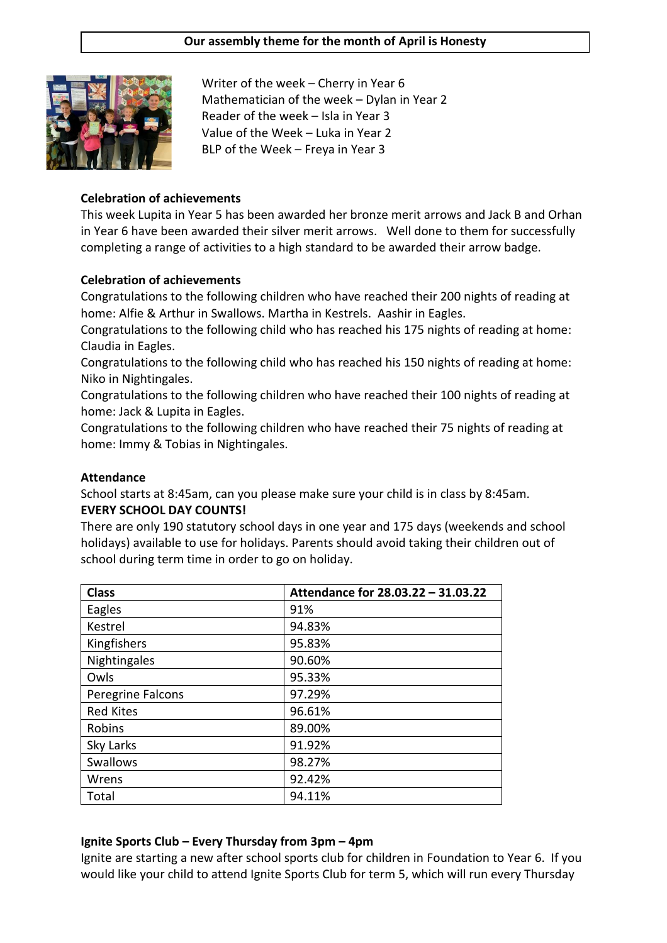## **Our assembly theme for the month of April is Honesty**



Writer of the week – Cherry in Year 6 Mathematician of the week – Dylan in Year 2 Reader of the week – Isla in Year 3 Value of the Week – Luka in Year 2 BLP of the Week – Freya in Year 3

#### **Celebration of achievements**

This week Lupita in Year 5 has been awarded her bronze merit arrows and Jack B and Orhan in Year 6 have been awarded their silver merit arrows. Well done to them for successfully completing a range of activities to a high standard to be awarded their arrow badge.

### **Celebration of achievements**

Congratulations to the following children who have reached their 200 nights of reading at home: Alfie & Arthur in Swallows. Martha in Kestrels. Aashir in Eagles.

Congratulations to the following child who has reached his 175 nights of reading at home: Claudia in Eagles.

Congratulations to the following child who has reached his 150 nights of reading at home: Niko in Nightingales.

Congratulations to the following children who have reached their 100 nights of reading at home: Jack & Lupita in Eagles.

Congratulations to the following children who have reached their 75 nights of reading at home: Immy & Tobias in Nightingales.

#### **Attendance**

School starts at 8:45am, can you please make sure your child is in class by 8:45am.

## **EVERY SCHOOL DAY COUNTS!**

There are only 190 statutory school days in one year and 175 days (weekends and school holidays) available to use for holidays. Parents should avoid taking their children out of school during term time in order to go on holiday.

| <b>Class</b>      | Attendance for 28.03.22 - 31.03.22 |
|-------------------|------------------------------------|
| Eagles            | 91%                                |
| Kestrel           | 94.83%                             |
| Kingfishers       | 95.83%                             |
| Nightingales      | 90.60%                             |
| Owls              | 95.33%                             |
| Peregrine Falcons | 97.29%                             |
| <b>Red Kites</b>  | 96.61%                             |
| Robins            | 89.00%                             |
| Sky Larks         | 91.92%                             |
| Swallows          | 98.27%                             |
| Wrens             | 92.42%                             |
| Total             | 94.11%                             |

## **Ignite Sports Club – Every Thursday from 3pm – 4pm**

Ignite are starting a new after school sports club for children in Foundation to Year 6. If you would like your child to attend Ignite Sports Club for term 5, which will run every Thursday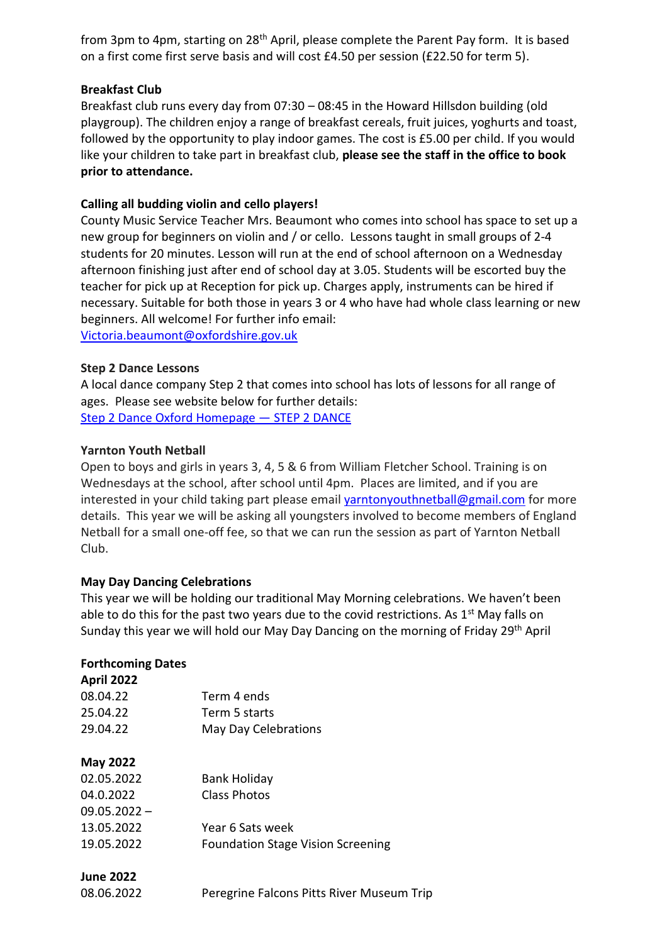from 3pm to 4pm, starting on 28<sup>th</sup> April, please complete the Parent Pay form. It is based on a first come first serve basis and will cost £4.50 per session (£22.50 for term 5).

## **Breakfast Club**

Breakfast club runs every day from 07:30 – 08:45 in the Howard Hillsdon building (old playgroup). The children enjoy a range of breakfast cereals, fruit juices, yoghurts and toast, followed by the opportunity to play indoor games. The cost is £5.00 per child. If you would like your children to take part in breakfast club, **please see the staff in the office to book prior to attendance.**

## **Calling all budding violin and cello players!**

County Music Service Teacher Mrs. Beaumont who comes into school has space to set up a new group for beginners on violin and / or cello. Lessons taught in small groups of 2-4 students for 20 minutes. Lesson will run at the end of school afternoon on a Wednesday afternoon finishing just after end of school day at 3.05. Students will be escorted buy the teacher for pick up at Reception for pick up. Charges apply, instruments can be hired if necessary. Suitable for both those in years 3 or 4 who have had whole class learning or new beginners. All welcome! For further info email:

[Victoria.beaumont@oxfordshire.gov.uk](mailto:Victoria.beaumont@oxfordshire.gov.uk)

## **Step 2 Dance Lessons**

A local dance company Step 2 that comes into school has lots of lessons for all range of ages. Please see website below for further details: [Step 2 Dance Oxford Homepage](https://www.step2dance.co.uk/home) — STEP 2 DANCE

## **Yarnton Youth Netball**

Open to boys and girls in years 3, 4, 5 & 6 from William Fletcher School. Training is on Wednesdays at the school, after school until 4pm. Places are limited, and if you are interested in your child taking part please email [yarntonyouthnetball@gmail.com](mailto:yarntonyouthnetball@gmail.com) for more details. This year we will be asking all youngsters involved to become members of England Netball for a small one-off fee, so that we can run the session as part of Yarnton Netball Club.

## **May Day Dancing Celebrations**

This year we will be holding our traditional May Morning celebrations. We haven't been able to do this for the past two years due to the covid restrictions. As  $1<sup>st</sup>$  May falls on Sunday this year we will hold our May Day Dancing on the morning of Friday 29th April

## **Forthcoming Dates**

| <b>April 2022</b> |                                          |
|-------------------|------------------------------------------|
| 08.04.22          | Term 4 ends                              |
| 25.04.22          | Term 5 starts                            |
| 29.04.22          | May Day Celebrations                     |
| <b>May 2022</b>   |                                          |
| 02.05.2022        | <b>Bank Holiday</b>                      |
| 04.0.2022         | Class Photos                             |
| $09.05.2022 -$    |                                          |
| 13.05.2022        | Year 6 Sats week                         |
| 19.05.2022        | <b>Foundation Stage Vision Screening</b> |
| <b>June 2022</b>  |                                          |

| 08.06.2022 | Peregrine Falcons Pitts River Museum Trip |  |
|------------|-------------------------------------------|--|